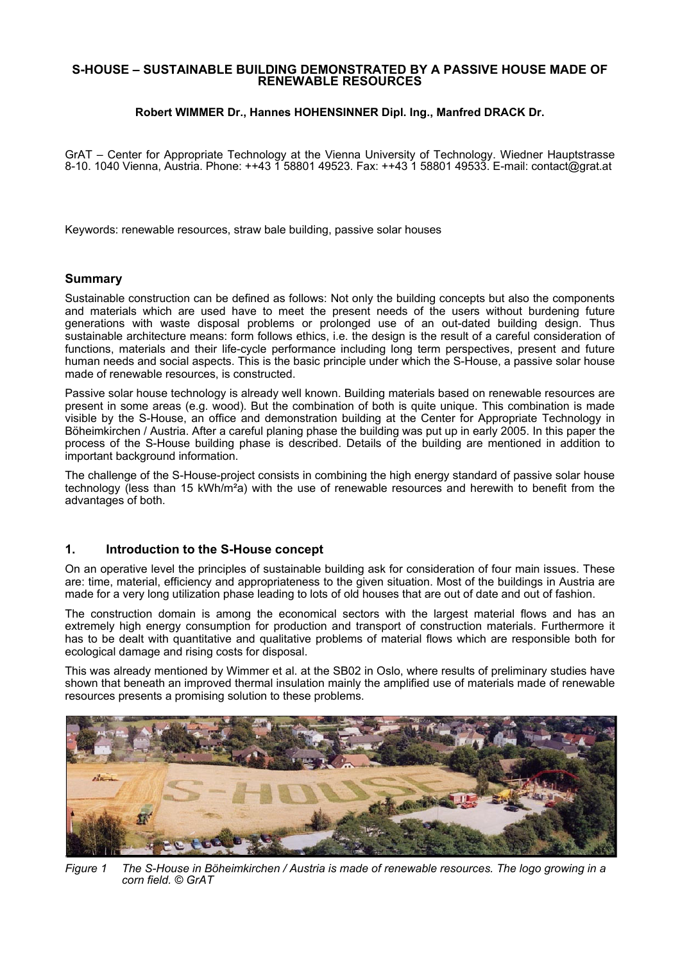#### **S-HOUSE – SUSTAINABLE BUILDING DEMONSTRATED BY A PASSIVE HOUSE MADE OF RENEWABLE RESOURCES**

#### **Robert WIMMER Dr., Hannes HOHENSINNER Dipl. Ing., Manfred DRACK Dr.**

GrAT – Center for Appropriate Technology at the Vienna University of Technology. Wiedner Hauptstrasse 8-10. 1040 Vienna, Austria. Phone: ++43 1 58801 49523. Fax: ++43 1 58801 49533. E-mail: contact@grat.at

Keywords: renewable resources, straw bale building, passive solar houses

#### **Summary**

Sustainable construction can be defined as follows: Not only the building concepts but also the components and materials which are used have to meet the present needs of the users without burdening future generations with waste disposal problems or prolonged use of an out-dated building design. Thus sustainable architecture means: form follows ethics, i.e. the design is the result of a careful consideration of functions, materials and their life-cycle performance including long term perspectives, present and future human needs and social aspects. This is the basic principle under which the S-House, a passive solar house made of renewable resources, is constructed.

Passive solar house technology is already well known. Building materials based on renewable resources are present in some areas (e.g. wood). But the combination of both is quite unique. This combination is made visible by the S-House, an office and demonstration building at the Center for Appropriate Technology in Böheimkirchen / Austria. After a careful planing phase the building was put up in early 2005. In this paper the process of the S-House building phase is described. Details of the building are mentioned in addition to important background information.

The challenge of the S-House-project consists in combining the high energy standard of passive solar house technology (less than 15 kWh/m<sup>2</sup>a) with the use of renewable resources and herewith to benefit from the advantages of both.

## **1. Introduction to the S-House concept**

On an operative level the principles of sustainable building ask for consideration of four main issues. These are: time, material, efficiency and appropriateness to the given situation. Most of the buildings in Austria are made for a very long utilization phase leading to lots of old houses that are out of date and out of fashion.

The construction domain is among the economical sectors with the largest material flows and has an extremely high energy consumption for production and transport of construction materials. Furthermore it has to be dealt with quantitative and qualitative problems of material flows which are responsible both for ecological damage and rising costs for disposal.

This was already mentioned by Wimmer et al. at the SB02 in Oslo, where results of preliminary studies have shown that beneath an improved thermal insulation mainly the amplified use of materials made of renewable resources presents a promising solution to these problems.



*Figure 1 The S-House in Böheimkirchen / Austria is made of renewable resources. The logo growing in a corn field. © GrAT*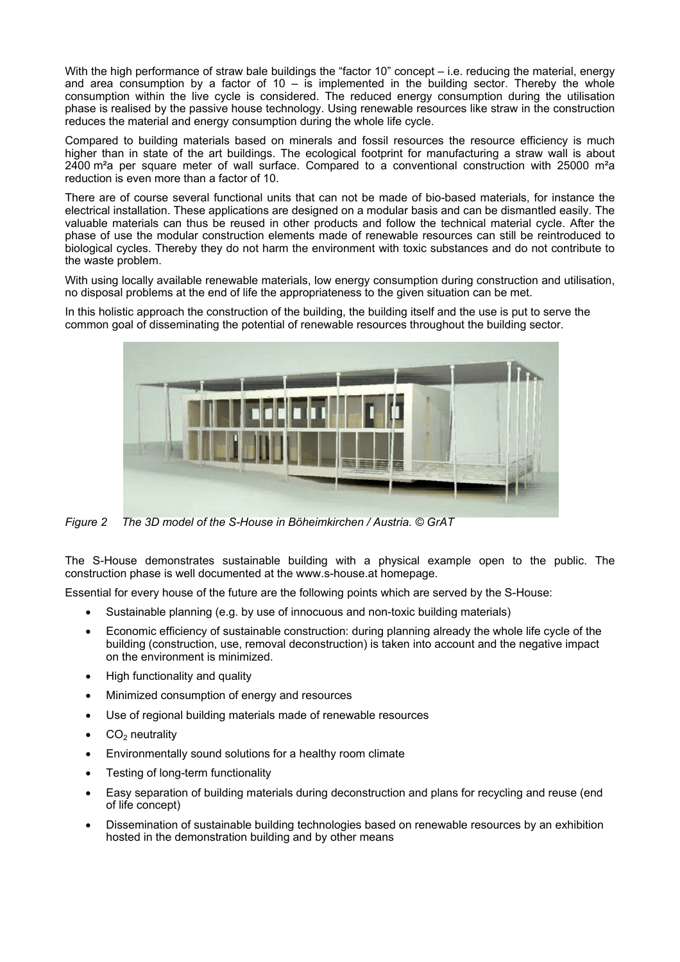With the high performance of straw bale buildings the "factor 10" concept – i.e. reducing the material, energy and area consumption by a factor of  $10 -$  is implemented in the building sector. Thereby the whole consumption within the live cycle is considered. The reduced energy consumption during the utilisation phase is realised by the passive house technology. Using renewable resources like straw in the construction reduces the material and energy consumption during the whole life cycle.

Compared to building materials based on minerals and fossil resources the resource efficiency is much higher than in state of the art buildings. The ecological footprint for manufacturing a straw wall is about 2400 m²a per square meter of wall surface. Compared to a conventional construction with 25000 m²a reduction is even more than a factor of 10.

There are of course several functional units that can not be made of bio-based materials, for instance the electrical installation. These applications are designed on a modular basis and can be dismantled easily. The valuable materials can thus be reused in other products and follow the technical material cycle. After the phase of use the modular construction elements made of renewable resources can still be reintroduced to biological cycles. Thereby they do not harm the environment with toxic substances and do not contribute to the waste problem.

With using locally available renewable materials, low energy consumption during construction and utilisation, no disposal problems at the end of life the appropriateness to the given situation can be met.

In this holistic approach the construction of the building, the building itself and the use is put to serve the common goal of disseminating the potential of renewable resources throughout the building sector.



*Figure 2 The 3D model of the S-House in Böheimkirchen / Austria. © GrAT*

The S-House demonstrates sustainable building with a physical example open to the public. The construction phase is well documented at the www.s-house.at homepage.

Essential for every house of the future are the following points which are served by the S-House:

- Sustainable planning (e.g. by use of innocuous and non-toxic building materials)
- Economic efficiency of sustainable construction: during planning already the whole life cycle of the building (construction, use, removal deconstruction) is taken into account and the negative impact on the environment is minimized.
- High functionality and quality
- Minimized consumption of energy and resources
- Use of regional building materials made of renewable resources
- $\bullet$  CO<sub>2</sub> neutrality
- Environmentally sound solutions for a healthy room climate
- Testing of long-term functionality
- Easy separation of building materials during deconstruction and plans for recycling and reuse (end of life concept)
- Dissemination of sustainable building technologies based on renewable resources by an exhibition hosted in the demonstration building and by other means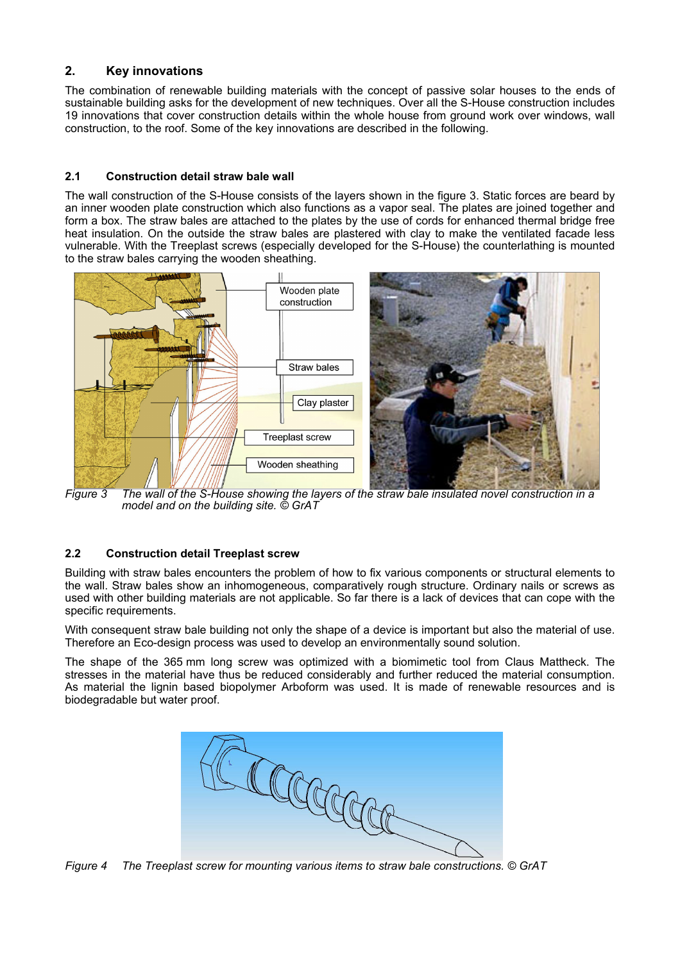## **2. Key innovations**

The combination of renewable building materials with the concept of passive solar houses to the ends of sustainable building asks for the development of new techniques. Over all the S-House construction includes 19 innovations that cover construction details within the whole house from ground work over windows, wall construction, to the roof. Some of the key innovations are described in the following.

## **2.1 Construction detail straw bale wall**

The wall construction of the S-House consists of the layers shown in the figure 3. Static forces are beard by an inner wooden plate construction which also functions as a vapor seal. The plates are joined together and form a box. The straw bales are attached to the plates by the use of cords for enhanced thermal bridge free heat insulation. On the outside the straw bales are plastered with clay to make the ventilated facade less vulnerable. With the Treeplast screws (especially developed for the S-House) the counterlathing is mounted to the straw bales carrying the wooden sheathing.



*Figure 3 The wall of the S-House showing the layers of the straw bale insulated novel construction in a model and on the building site. © GrAT*

## **2.2 Construction detail Treeplast screw**

Building with straw bales encounters the problem of how to fix various components or structural elements to the wall. Straw bales show an inhomogeneous, comparatively rough structure. Ordinary nails or screws as used with other building materials are not applicable. So far there is a lack of devices that can cope with the specific requirements.

With consequent straw bale building not only the shape of a device is important but also the material of use. Therefore an Eco-design process was used to develop an environmentally sound solution.

The shape of the 365 mm long screw was optimized with a biomimetic tool from Claus Mattheck. The stresses in the material have thus be reduced considerably and further reduced the material consumption. As material the lignin based biopolymer Arboform was used. It is made of renewable resources and is biodegradable but water proof.



*Figure 4 The Treeplast screw for mounting various items to straw bale constructions. © GrAT*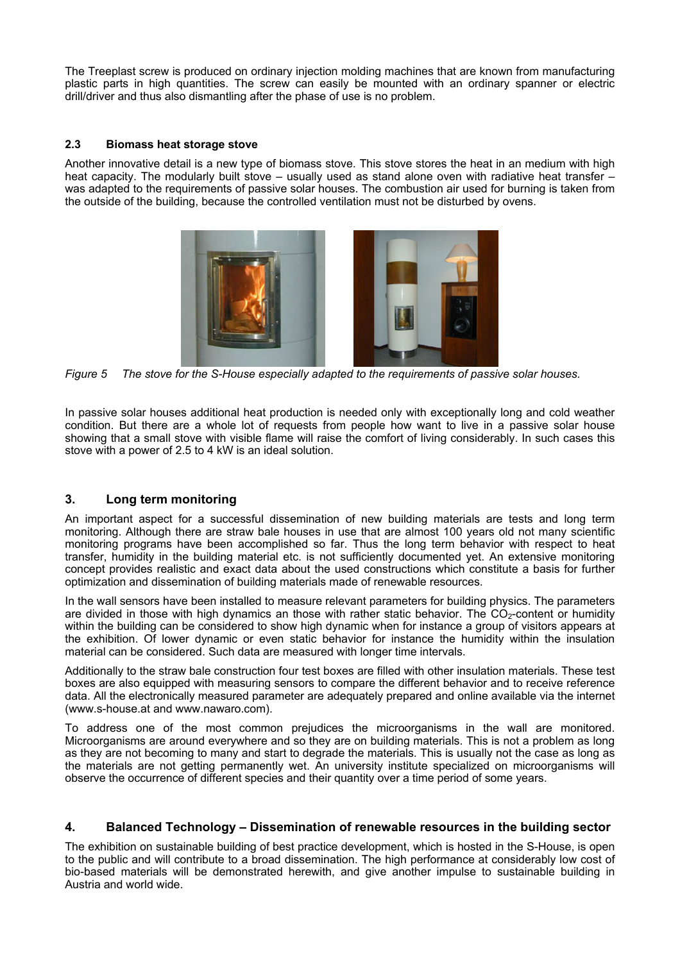The Treeplast screw is produced on ordinary injection molding machines that are known from manufacturing plastic parts in high quantities. The screw can easily be mounted with an ordinary spanner or electric drill/driver and thus also dismantling after the phase of use is no problem.

## **2.3 Biomass heat storage stove**

Another innovative detail is a new type of biomass stove. This stove stores the heat in an medium with high heat capacity. The modularly built stove – usually used as stand alone oven with radiative heat transfer – was adapted to the requirements of passive solar houses. The combustion air used for burning is taken from the outside of the building, because the controlled ventilation must not be disturbed by ovens.



*Figure 5 The stove for the S-House especially adapted to the requirements of passive solar houses.*

In passive solar houses additional heat production is needed only with exceptionally long and cold weather condition. But there are a whole lot of requests from people how want to live in a passive solar house showing that a small stove with visible flame will raise the comfort of living considerably. In such cases this stove with a power of 2.5 to 4 kW is an ideal solution.

# **3. Long term monitoring**

An important aspect for a successful dissemination of new building materials are tests and long term monitoring. Although there are straw bale houses in use that are almost 100 years old not many scientific monitoring programs have been accomplished so far. Thus the long term behavior with respect to heat transfer, humidity in the building material etc. is not sufficiently documented yet. An extensive monitoring concept provides realistic and exact data about the used constructions which constitute a basis for further optimization and dissemination of building materials made of renewable resources.

In the wall sensors have been installed to measure relevant parameters for building physics. The parameters are divided in those with high dynamics an those with rather static behavior. The  $CO<sub>2</sub>$ -content or humidity within the building can be considered to show high dynamic when for instance a group of visitors appears at the exhibition. Of lower dynamic or even static behavior for instance the humidity within the insulation material can be considered. Such data are measured with longer time intervals.

Additionally to the straw bale construction four test boxes are filled with other insulation materials. These test boxes are also equipped with measuring sensors to compare the different behavior and to receive reference data. All the electronically measured parameter are adequately prepared and online available via the internet (www.s-house.at and www.nawaro.com).

To address one of the most common prejudices the microorganisms in the wall are monitored. Microorganisms are around everywhere and so they are on building materials. This is not a problem as long as they are not becoming to many and start to degrade the materials. This is usually not the case as long as the materials are not getting permanently wet. An university institute specialized on microorganisms will observe the occurrence of different species and their quantity over a time period of some years.

## **4. Balanced Technology – Dissemination of renewable resources in the building sector**

The exhibition on sustainable building of best practice development, which is hosted in the S-House, is open to the public and will contribute to a broad dissemination. The high performance at considerably low cost of bio-based materials will be demonstrated herewith, and give another impulse to sustainable building in Austria and world wide.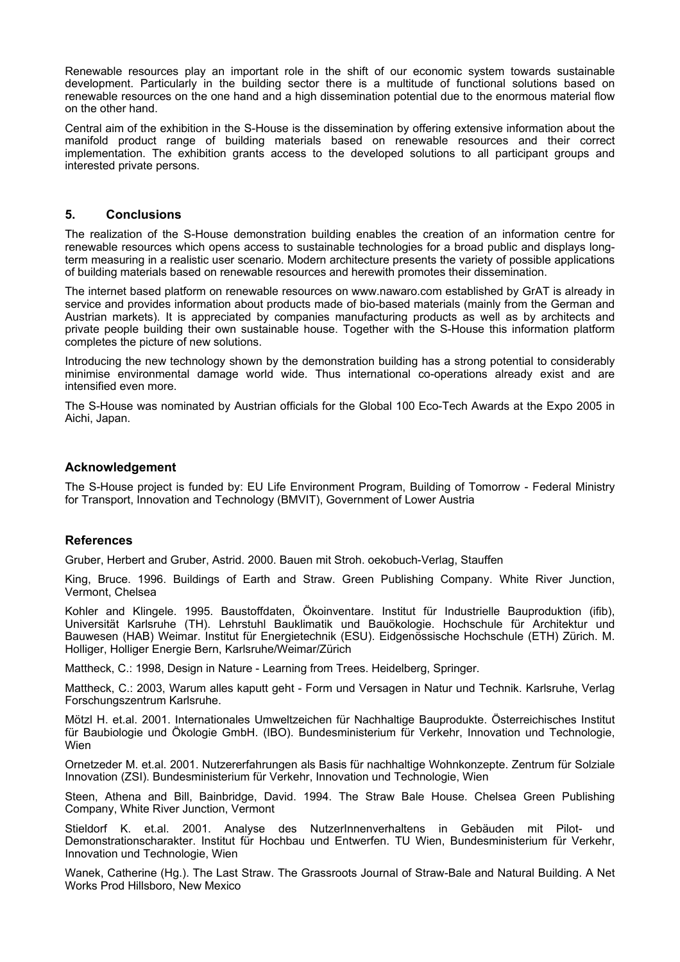Renewable resources play an important role in the shift of our economic system towards sustainable development. Particularly in the building sector there is a multitude of functional solutions based on renewable resources on the one hand and a high dissemination potential due to the enormous material flow on the other hand.

Central aim of the exhibition in the S-House is the dissemination by offering extensive information about the manifold product range of building materials based on renewable resources and their correct implementation. The exhibition grants access to the developed solutions to all participant groups and interested private persons.

## **5. Conclusions**

The realization of the S-House demonstration building enables the creation of an information centre for renewable resources which opens access to sustainable technologies for a broad public and displays longterm measuring in a realistic user scenario. Modern architecture presents the variety of possible applications of building materials based on renewable resources and herewith promotes their dissemination.

The internet based platform on renewable resources on www.nawaro.com established by GrAT is already in service and provides information about products made of bio-based materials (mainly from the German and Austrian markets). It is appreciated by companies manufacturing products as well as by architects and private people building their own sustainable house. Together with the S-House this information platform completes the picture of new solutions.

Introducing the new technology shown by the demonstration building has a strong potential to considerably minimise environmental damage world wide. Thus international co-operations already exist and are intensified even more.

The S-House was nominated by Austrian officials for the Global 100 Eco-Tech Awards at the Expo 2005 in Aichi, Japan.

#### **Acknowledgement**

The S-House project is funded by: EU Life Environment Program, Building of Tomorrow - Federal Ministry for Transport, Innovation and Technology (BMVIT), Government of Lower Austria

#### **References**

Gruber, Herbert and Gruber, Astrid. 2000. Bauen mit Stroh. oekobuch-Verlag, Stauffen

King, Bruce. 1996. Buildings of Earth and Straw. Green Publishing Company. White River Junction, Vermont, Chelsea

Kohler and Klingele. 1995. Baustoffdaten, Ökoinventare. Institut für Industrielle Bauproduktion (ifib), Universität Karlsruhe (TH). Lehrstuhl Bauklimatik und Bauökologie. Hochschule für Architektur und Bauwesen (HAB) Weimar. Institut für Energietechnik (ESU). Eidgenössische Hochschule (ETH) Zürich. M. Holliger, Holliger Energie Bern, Karlsruhe/Weimar/Zürich

Mattheck, C.: 1998, Design in Nature - Learning from Trees. Heidelberg, Springer.

Mattheck, C.: 2003, Warum alles kaputt geht - Form und Versagen in Natur und Technik. Karlsruhe, Verlag Forschungszentrum Karlsruhe.

Mötzl H. et.al. 2001. Internationales Umweltzeichen für Nachhaltige Bauprodukte. Österreichisches Institut für Baubiologie und Ökologie GmbH. (IBO). Bundesministerium für Verkehr, Innovation und Technologie, **Wien** 

Ornetzeder M. et.al. 2001. Nutzererfahrungen als Basis für nachhaltige Wohnkonzepte. Zentrum für Solziale Innovation (ZSI). Bundesministerium für Verkehr, Innovation und Technologie, Wien

Steen, Athena and Bill, Bainbridge, David. 1994. The Straw Bale House. Chelsea Green Publishing Company, White River Junction, Vermont

Stieldorf K. et.al. 2001. Analyse des NutzerInnenverhaltens in Gebäuden mit Pilot- und Demonstrationscharakter. Institut für Hochbau und Entwerfen. TU Wien, Bundesministerium für Verkehr, Innovation und Technologie, Wien

Wanek, Catherine (Hg.). The Last Straw. The Grassroots Journal of Straw-Bale and Natural Building. A Net Works Prod Hillsboro, New Mexico